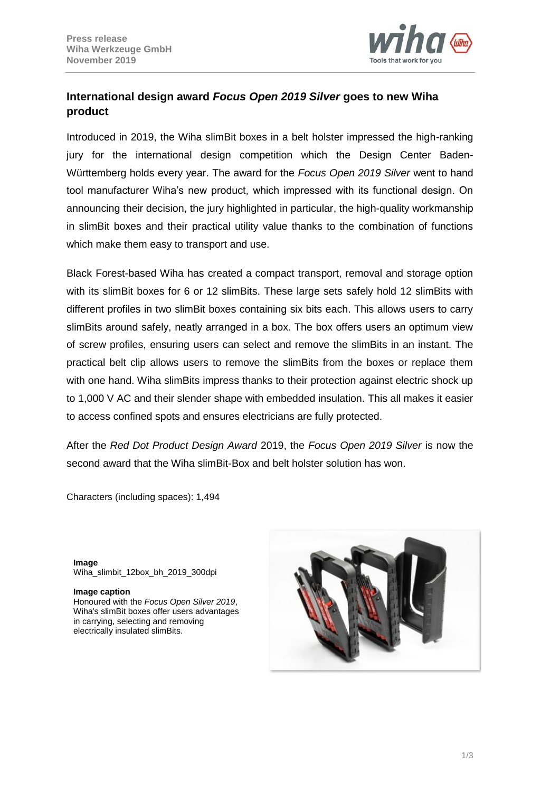

# **International design award** *Focus Open 2019 Silver* **goes to new Wiha product**

Introduced in 2019, the Wiha slimBit boxes in a belt holster impressed the high-ranking jury for the international design competition which the Design Center Baden-Württemberg holds every year. The award for the *Focus Open 2019 Silver* went to hand tool manufacturer Wiha's new product, which impressed with its functional design. On announcing their decision, the jury highlighted in particular, the high-quality workmanship in slimBit boxes and their practical utility value thanks to the combination of functions which make them easy to transport and use.

Black Forest-based Wiha has created a compact transport, removal and storage option with its slimBit boxes for 6 or 12 slimBits. These large sets safely hold 12 slimBits with different profiles in two slimBit boxes containing six bits each. This allows users to carry slimBits around safely, neatly arranged in a box. The box offers users an optimum view of screw profiles, ensuring users can select and remove the slimBits in an instant. The practical belt clip allows users to remove the slimBits from the boxes or replace them with one hand. Wiha slimBits impress thanks to their protection against electric shock up to 1,000 V AC and their slender shape with embedded insulation. This all makes it easier to access confined spots and ensures electricians are fully protected.

After the *Red Dot Product Design Award* 2019, the *Focus Open 2019 Silver* is now the second award that the Wiha slimBit-Box and belt holster solution has won.

Characters (including spaces): 1,494

**Image** Wiha\_slimbit\_12box\_bh\_2019\_300dpi

### **Image caption**

Honoured with the *Focus Open Silver 2019*, Wiha's slimBit boxes offer users advantages in carrying, selecting and removing electrically insulated slimBits.

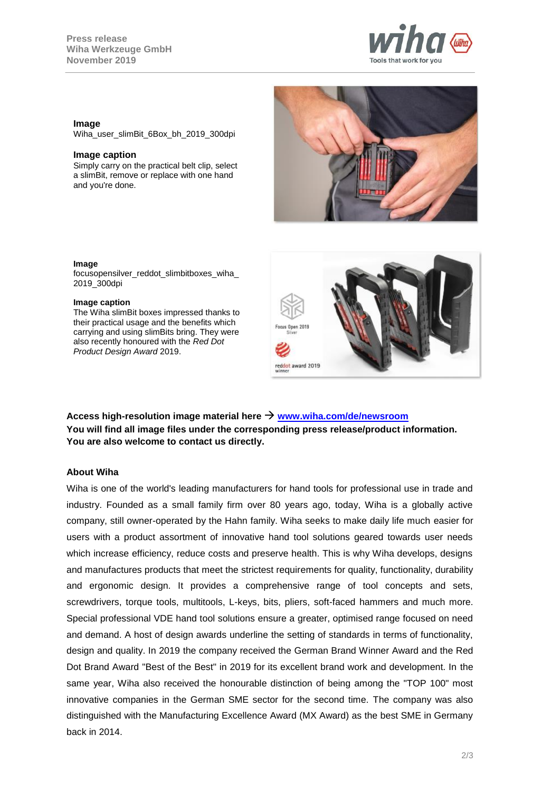

### **Image**

Wiha\_user\_slimBit\_6Box\_bh\_2019\_300dpi

#### **Image caption**

Simply carry on the practical belt clip, select a slimBit, remove or replace with one hand and you're done.



#### **Image**

focusopensilver\_reddot\_slimbitboxes\_wiha 2019\_300dpi

#### **Image caption**

The Wiha slimBit boxes impressed thanks to their practical usage and the benefits which carrying and using slimBits bring. They were also recently honoured with the *Red Dot Product Design Award* 2019.



**Access high-resolution image material here [www.wiha.com/de/newsroom](http://www.wiha.com/de/newsroom) You will find all image files under the corresponding press release/product information. You are also welcome to contact us directly.**

### **About Wiha**

Wiha is one of the world's leading manufacturers for hand tools for professional use in trade and industry. Founded as a small family firm over 80 years ago, today, Wiha is a globally active company, still owner-operated by the Hahn family. Wiha seeks to make daily life much easier for users with a product assortment of innovative hand tool solutions geared towards user needs which increase efficiency, reduce costs and preserve health. This is why Wiha develops, designs and manufactures products that meet the strictest requirements for quality, functionality, durability and ergonomic design. It provides a comprehensive range of tool concepts and sets, screwdrivers, torque tools, multitools, L-keys, bits, pliers, soft-faced hammers and much more. Special professional VDE hand tool solutions ensure a greater, optimised range focused on need and demand. A host of design awards underline the setting of standards in terms of functionality, design and quality. In 2019 the company received the German Brand Winner Award and the Red Dot Brand Award "Best of the Best" in 2019 for its excellent brand work and development. In the same year, Wiha also received the honourable distinction of being among the "TOP 100" most innovative companies in the German SME sector for the second time. The company was also distinguished with the Manufacturing Excellence Award (MX Award) as the best SME in Germany back in 2014.